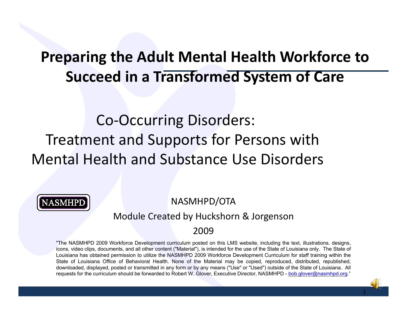#### **Preparing the Adult Mental Health Workforce to Succeed in <sup>a</sup> Transformed System of Care**

#### Co‐Occurring Disorders: Treatment and Supports for Persons with Mental Health and Substance Use Disorders



NASMHPD/OTA

#### Module Created by Huckshorn & Jorgenson

#### 2009

"The NASMHPD 2009 Workforce Development curriculum posted on this LMS website, including the text, illustrations, designs, icons, video clips, documents, and all other content ("Material"), is intended for the use of the State of Louisiana only. The State of Louisiana has obtained permission to utilize the NASMHPD 2009 Workforce Development Curriculum for staff training within the State of Louisiana Office of Behavioral Health. None of the Material may be copied, reproduced, distributed, republished, downloaded, displayed, posted or transmitted in any form or by any means ("Use" or "Used") outside of the State of Louisiana. All requests for the curriculum should be forwarded to Robert W. Glover, Executive Director, NASMHPD - bob.glover@nasmhpd.org."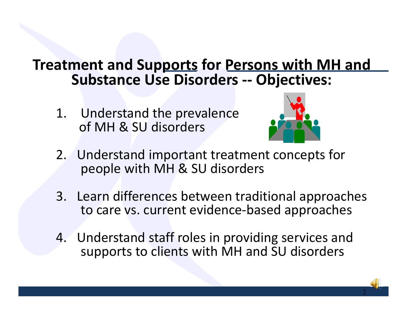#### **Treatment and Supports for Persons with MH and Substance Use Disorders ‐‐ Objectives:**

1. Understand the prevalence of MH & SU disorders



- 2. Understand important treatment concepts for people with MH & SU disorders
- 3. Learn differences between traditional approaches to care vs. current evidence‐based approaches
- 4. Understand staff roles in providing services and supports to clients with MH and SU disorders

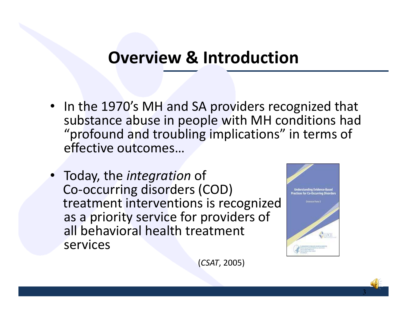#### **Overview & Introduction**

- In the 1970's MH and SA providers recognized that substance abuse in people with MH conditions had "profound and troubling implications" in terms of effective outcomes…
- Today, the *integration* of Co‐occurring disorders (COD) treatment interventions is recognized as a priority service for providers of all behavioral health treatment services



3

(*CSAT*, 2005)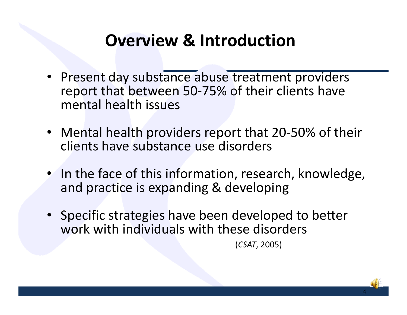### **Overview & Introduction**

- Present day substance abuse treatment providers report that between 50‐75% of their clients have mental health issues
- Mental health providers report that 20‐50% of their clients have substance use disorders
- In the face of this information, research, knowledge, and practice is expanding & developing
- Specific strategies have been developed to better work with individuals with these disorders

(*CSAT*, 2005)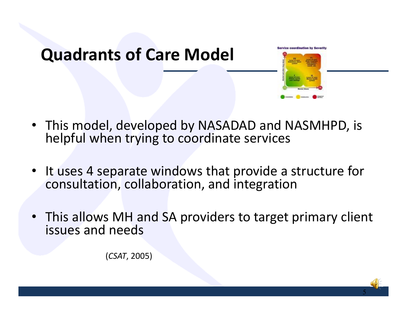

- This model, developed by NASADAD and NASMHPD, is helpful when trying to coordinate services
- •• It uses 4 separate windows that provide a structure for consultation, collaboration, and integration
- This allows MH and SA providers to target primary client issues and needs

(*CSAT*, 2005)

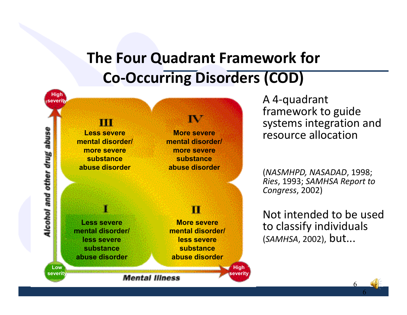#### **The Four Quadrant Framework for Co‐Occurring Disorders (COD)**



A 4‐quadrant framework to guide systems integration and resource allocation

(*NASMHPD, NASADAD*, 1998; *Ries*, 1993; *SAMHSA Report to Congress*, 2002)

Not intended to be used to classify individuals (*SAMHSA*, 2002), but...

6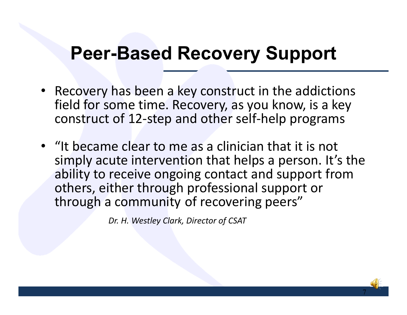## **Peer-Based Recovery Support**

- Recovery has been a key construct in the addictions field for some time. Recovery, as you know, is a key construct of 12 ‐step and other self ‐help programs
- "It became clear to me as a clinician that it is not simply acute intervention that helps a person. It's the ability to receive ongoing contact and support from others, either through professional support or through a community of recovering peers"

*Dr. H. Westley Clark, Director of CSAT*

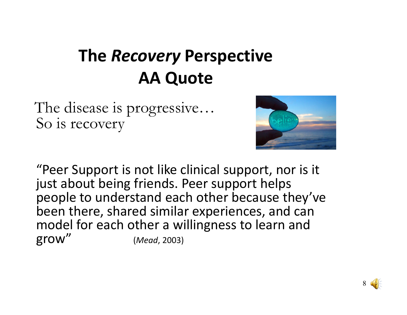## **The** *Recovery* **Perspective AA Quote**

The disease is progressive… So is recovery



"Peer Support is not like clinical support, nor is it just about being friends. Peer support helps people to understand each other because they've been there, shared similar experiences, and can model for each other <sup>a</sup> willingness to learn and grow" (*Mead*, 2003)

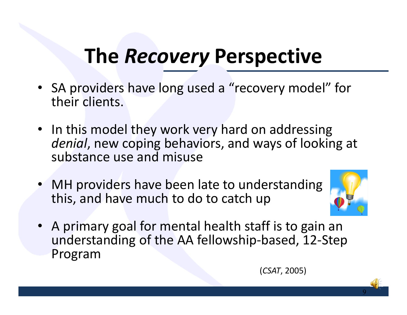# **The** *Recovery* **Perspective**

- SA providers have long used <sup>a</sup> "recovery model" for their clients.
- In this model they work very hard on addressing *denial*, new coping behaviors, and ways of looking at substance use and misuse
- • MH providers have been late to understanding this, and have much to do to catch up



9

• A primary goal for mental health staff is to gain an understanding of the AA fellowship‐based, 12‐Step Program

(*CSAT*, 2005)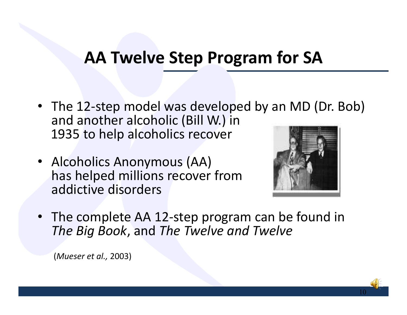#### **AA Twelve Step Program for SA**

- The 12-step model was developed by an MD (Dr. Bob) and another alcoholic (Bill W.) in 1935 to help alcoholics recover
- Alcoholics Anonymous (AA) has helped millions recover from addictive disorders



10

• The complete AA 12‐step program can be found in *The Big Book*, and *The Twelve and Twelve*

(*Mueser et al.,* 2003)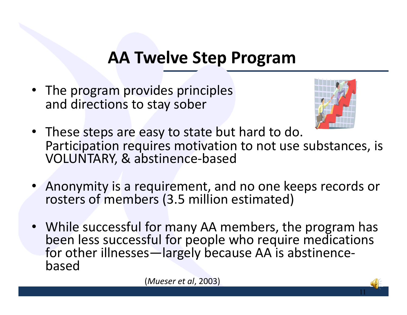#### **AA Twelve Step Program**

• The program provides principles and directions to stay sober



11

- These steps are easy to state but hard to do. Participation requires motivation to not use substances, is VOLUNTARY, & abstinence‐based
- • Anonymity is <sup>a</sup> requirement, and no one keeps records or rosters of members (3.5 million estimated)
- While successful for many AA members, the program has been less successful for people who require medications for other illnesses—largely because AA is abstinence‐ based

(*Mueser et al*, 2003)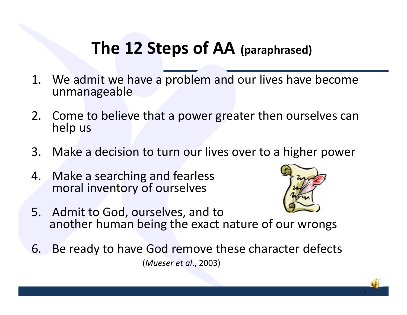#### **The 12 Steps of AA (paraphrased)**

- 1. We admit we have <sup>a</sup> problem and our lives have become unmanageable
- 2. Come to believe that <sup>a</sup> power greater then ourselves can help us
- 3. Make <sup>a</sup> decision to turn our lives over to <sup>a</sup> higher power
- 4. Make <sup>a</sup> searching and fearless moral inventory of ourselves



- 5. Admit to God, ourselves, and to another human being the exact nature of our wrongs
- 6. Be ready to have God remove these character defects (*Mueser et al*., 2003)

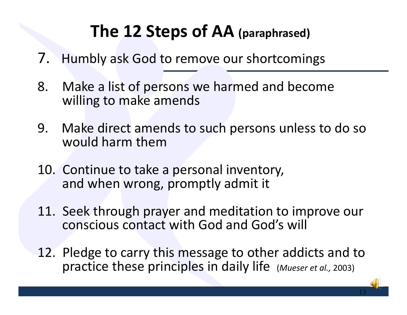### **The 12 Steps of AA (paraphrased)**

- 7. Humbly ask God to remove our shortcomings
- 8. Make <sup>a</sup> list of persons we harmed and become willing to make amends
- 9. Make direct amends to such persons unless to do so would harm them
- 10. Continue to take <sup>a</sup> personal inventory, and when wrong, promptly admit it
- 11. Seek through prayer and meditation to improve our conscious contact with God and God's will
- 12. Pledge to carry this message to other addicts and to practice these principles in daily life (*Mueser et al.,* 2003)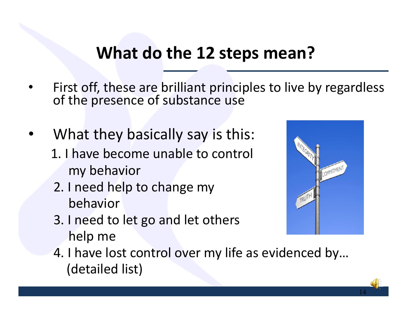#### **What do the 12 steps mean?**

- • First off, these are brilliant principles to live by regardless of the presence of substance use
- •What they basically say is this:
	- 1. I have become unable to control my behavior
	- 2. I need help to change my behavior
	- 3. I need to let go and let others help me



4. I have lost control over my life as evidenced by… (detailed list)

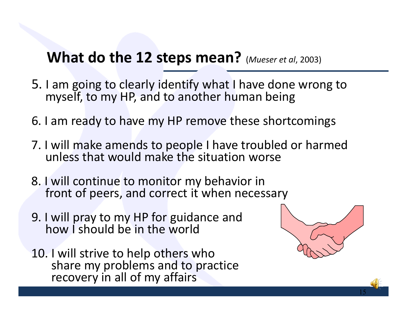#### **What do the 12 steps mean?** (*Mueser et al*, 2003)

- 5. I am going to clearly identify what I have done wrong to myself, to my HP, and to another human being
- 6. I am ready to have my HP remove these shortcomings
- 7. I will make amends to people I have troubled or harmed unless that would make the situation worse
- 8. I will continue to monitor my behavior in front of peers, and correct it when necessary
- 9. I will pray to my HP for guidance and how I should be in the world
- 10. I will strive to help others who share my problems and to practice recovery in all of my affairs



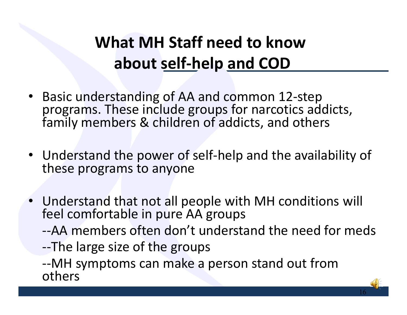## **What MH Staff need to knowabout self‐help and COD**

- Basic understanding of AA and common 12‐step programs. These include groups for narcotics addicts, family members & children of addicts, and others
- Understand the power of self‐help and the availability of these programs to anyone
- Understand that not all people with MH conditions will feel comfortable in pure AA groups
	- ‐‐AA members often don't understand the need for meds
	- ‐‐The large size of the groups

‐‐MH symptoms can make <sup>a</sup> person stand out from others

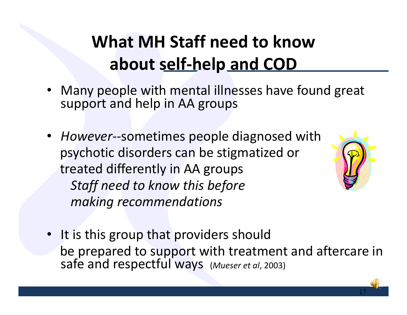## **What MH Staff need to knowabout self‐help and COD**

- Many people with mental illnesses have found great support and help in AA groups
- *However‐‐*sometimes people diagnosed with psychotic disorders can be stigmatized or treated differently in AA groups *Staff need to know this before making recommendations*



• It is this group that providers should be prepared to support with treatment and aftercare in safe and respectful ways (*Mueser et al*, 2003)

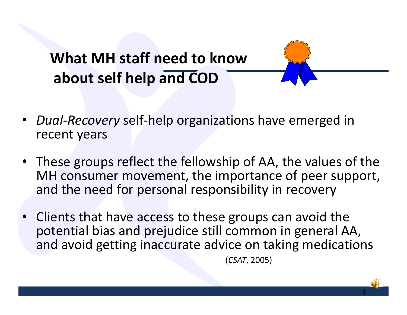**What MH staff need to knowabout self help and COD**



- These groups reflect the fellowship of AA, the values of the MH consumer movement, the importance of peer support, and the need for personal responsibility in recovery
- Clients that have access to these groups can avoid the potential bias and prejudice still common in general AA, and avoid getting inaccurate advice on taking medications

(*CSAT*, 2005)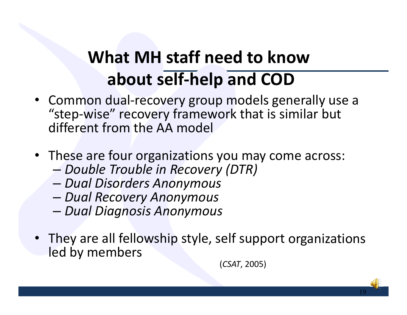## **What MH staff need to knowabout self‐help and COD**

- Common dual‐recovery group models generally use <sup>a</sup> "step‐wise" recovery framework that is similar but different from the AA model
- These are four organizations you may come across:
	- –*Double Trouble in Recovery (DTR)*
	- *Dual Disorders Anonymous*
	- *Dual Recovery Anonymous*
	- –*Dual Diagnosis Anonymous*
- They are all fellowship style, self support organizations led by members

(*CSAT*, 2005)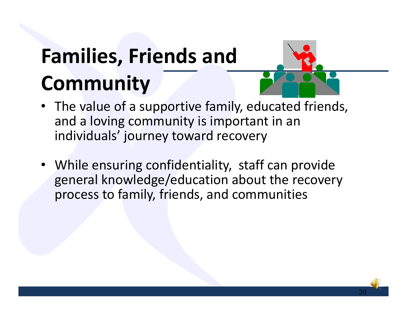# **Families, Friends and Community**



- The value of <sup>a</sup> supportive family, educated friends, and <sup>a</sup> loving community is important in an individuals' journey toward recovery
- While ensuring confidentiality, staff can provide general knowledge/education about the recovery process to family, friends, and communities

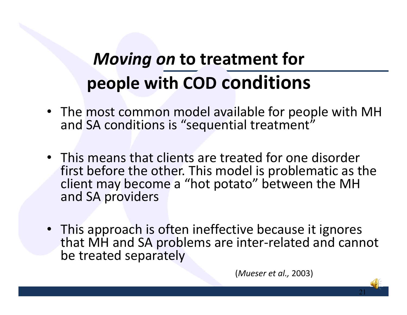## *Moving on* **to treatment for people with COD conditions**

- The most common model available for people with MH and SA conditions is "sequential treatment"
- This means that clients are treated for one disorder first before the other. This model is problematic as the client may become <sup>a</sup> "hot potato" between the MH and SA providers
- This approach is often ineffective because it ignores that MH and SA problems are inter‐related and cannot be treated separately

(*Mueser et al.,* 2003)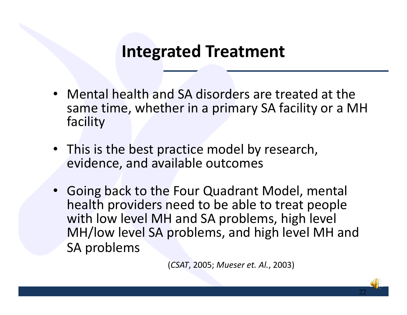#### **Integrated Treatment**

- Mental health and SA disorders are treated at the same time, whether in <sup>a</sup> primary SA facility or <sup>a</sup> MH facility
- This is the best practice model by research, evidence, and available outcomes
- • Going back to the Four Quadrant Model, mental health providers need to be able to treat people with low level MH and SA problems, high level MH/low level SA problems, and high level MH and SA problems

(*CSAT*, 2005; *Mueser et. Al.*, 2003)

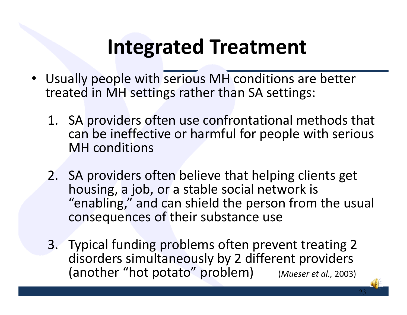# **Integrated Treatment**

- Usually people with serious MH conditions are better treated in MH settings rather than SA settings:
	- 1. SA providers often use confrontational methods that can be ineffective or harmful for people with serious MH conditions
	- 2. SA providers often believe that helping clients get housing, <sup>a</sup> job, or <sup>a</sup> stable social network is "enabling," and can shield the person from the usual consequences of their substance use
	- 3. Typical funding problems often prevent treating 2 disorders simultaneously by 2 different providers (another "hot potato" problem) (*Mueser et al.,* 2003)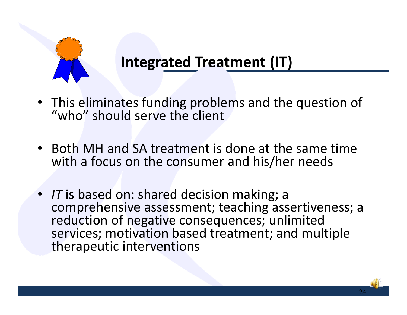

#### **Integrated Treatment (IT)**

- This eliminates funding problems and the question of "who" should serve the client
- Both MH and SA treatment is done at the same time with <sup>a</sup> focus on the consumer and his/her needs
- *IT* is based on: shared decision making; <sup>a</sup> comprehensive assessment; teaching assertiveness; <sup>a</sup> reduction of negative consequences; unlimited services; motivation based treatment; and multiple therapeutic interventions

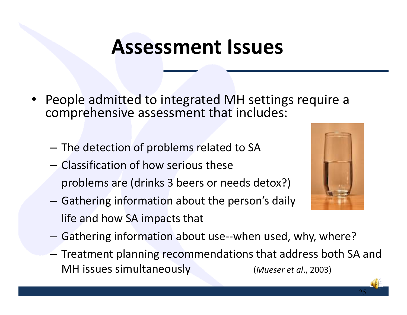- • People admitted to integrated MH settings require <sup>a</sup> comprehensive assessment that includes:
	- $-$  The detection of problems related to SA
	- Classification of how serious these problems are (drinks 3 beers or needs detox?)
	- Gathering information about the person's daily life and how SA impacts that



- Gathering information about use‐‐when used, why, where?
- $-$  Treatment planning recommendations that address both SA and MH issues simultaneously (*Mueser et al*., 2003)

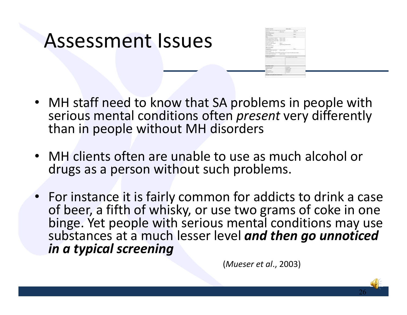|                                      | <b>CONTRACTOR</b> |
|--------------------------------------|-------------------|
|                                      | min."<br>. .      |
|                                      | $\sim$            |
|                                      |                   |
|                                      |                   |
|                                      |                   |
| detects an experience                | 199.790<br>m      |
|                                      | $1 - 0 - 1$       |
| Ě                                    |                   |
| <b>CONTRACTOR</b><br><b>TO AGETS</b> |                   |
|                                      | <b>Dec</b>        |
|                                      | <b>Stores</b>     |
| 有限                                   | -<br>×            |
| THE AVAILABLE !                      |                   |
| <b><i><u>Railwood</u></i></b>        |                   |
| PROVIDENT                            |                   |
|                                      |                   |
|                                      |                   |
|                                      |                   |
|                                      |                   |
|                                      | $-12 = 12$        |
| betrained and the<br>i.<br>÷         |                   |
|                                      | <b>Colorador</b>  |
| <b>Change</b>                        |                   |
|                                      |                   |
|                                      |                   |
|                                      |                   |
|                                      |                   |
|                                      |                   |
| <b><i><u>POSTA ICE</u></i></b>       | 46                |
|                                      | <b>Statement</b>  |
| <b>HERE</b>                          |                   |
|                                      |                   |
| $\sim$<br>a.                         | $-10$             |
| -                                    | $-100$            |

- MH staff need to know that SA problems in people with serious mental conditions often *present* very differently than in people without MH disorders
- MH clients often are unable to use as much alcohol or drugs as <sup>a</sup> person without such problems.
- For instance it is fairly common for addicts to drink <sup>a</sup> case of beer, <sup>a</sup> fifth of whisky, or use two grams of coke in one binge. Yet people with serious mental conditions may use substances at a much lesser level *and then go unnoticed in a typical screening*

(*Mueser et al*., 2003)

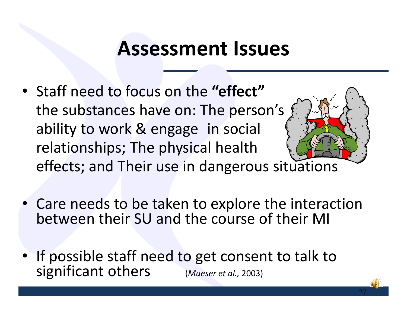- Staff need to focus on the **"effect"** the substances have on: The person's ability to work & engage in social relationships; The physical health effects; and Their use in dangerous situations
- Care needs to be taken to explore the interaction between their SU and the course of their MI
- If possible staff need to get consent to talk to significant others (*Mueser et al.,* 2003)

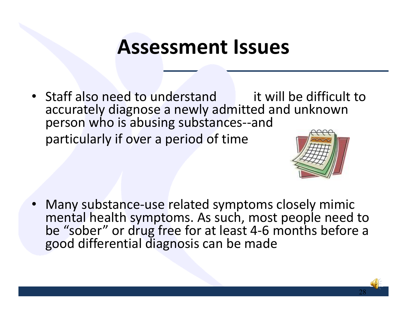• Staff also need to understand it will be difficult to accurately diagnose <sup>a</sup> newly admitted and unknown person who is abusing substances--and particularly if over <sup>a</sup> period of time



28

• Many substance‐use related symptoms closely mimic mental health symptoms. As such, most people need to be "sober" or drug free for at least 4‐6 months before <sup>a</sup> good differential diagnosis can be made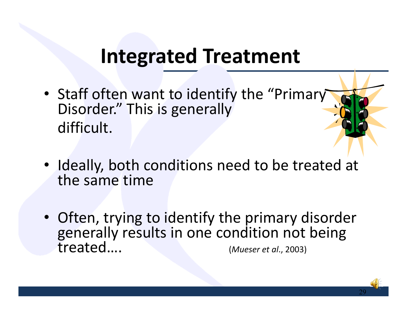## **Integrated Treatment**

- Staff often want to identify the "Primary Disorder." This is generally difficult.
- Ideally, both conditions need to be treated at the same time
- Often, trying to identify the primary disorder generally results in one condition not being treated…. (*Mueser et al*., 2003)

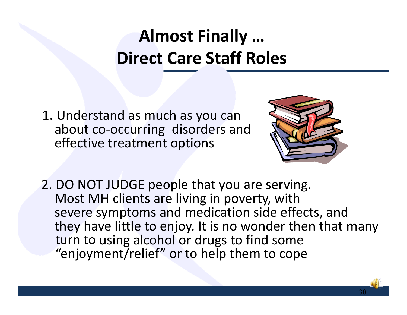## **Almost Finally … Direct Care Staff Roles**

1. Understand as much as you can about co‐occurring disorders and effective treatment options



30

2. DO NOT JUDGE people that you are serving. Most MH clients are living in poverty, with severe symptoms and medication side effects, and they have little to enjoy. It is no wonder then that many turn to using alcohol or drugs to find some "enjoyment/relief" or to help them to cope